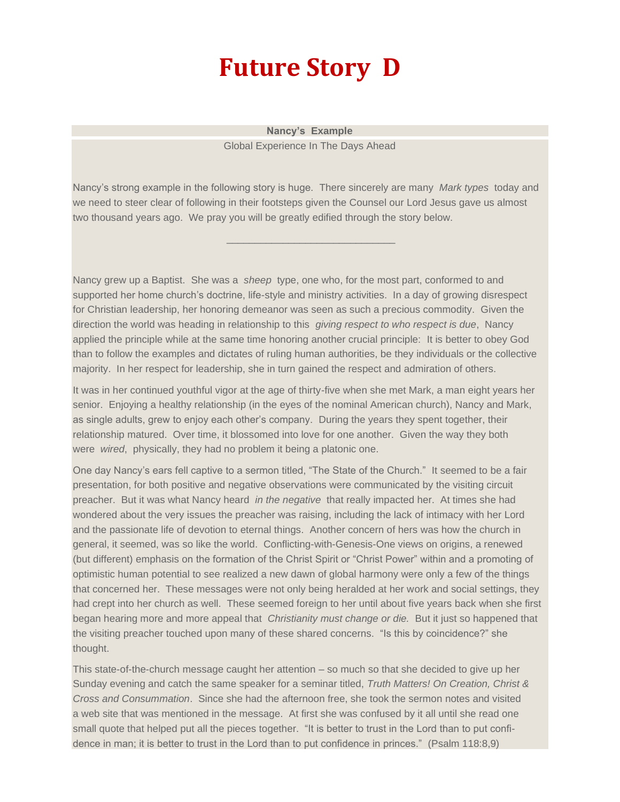## **Future Story D**

**Nancy's Example** Global Experience In The Days Ahead

Nancy's strong example in the following story is huge. There sincerely are many *Mark types* today and we need to steer clear of following in their footsteps given the Counsel our Lord Jesus gave us almost two thousand years ago. We pray you will be greatly edified through the story below.

\_\_\_\_\_\_\_\_\_\_\_\_\_\_\_\_\_\_\_\_\_\_\_\_\_\_\_\_\_\_

Nancy grew up a Baptist. She was a *sheep* type, one who, for the most part, conformed to and supported her home church's doctrine, life-style and ministry activities. In a day of growing disrespect for Christian leadership, her honoring demeanor was seen as such a precious commodity. Given the direction the world was heading in relationship to this *giving respect to who respect is due*, Nancy applied the principle while at the same time honoring another crucial principle: It is better to obey God than to follow the examples and dictates of ruling human authorities, be they individuals or the collective majority. In her respect for leadership, she in turn gained the respect and admiration of others.

It was in her continued youthful vigor at the age of thirty-five when she met Mark, a man eight years her senior. Enjoying a healthy relationship (in the eyes of the nominal American church), Nancy and Mark, as single adults, grew to enjoy each other's company. During the years they spent together, their relationship matured. Over time, it blossomed into love for one another. Given the way they both were *wired*, physically, they had no problem it being a platonic one.

One day Nancy's ears fell captive to a sermon titled, "The State of the Church." It seemed to be a fair presentation, for both positive and negative observations were communicated by the visiting circuit preacher. But it was what Nancy heard *in the negative* that really impacted her. At times she had wondered about the very issues the preacher was raising, including the lack of intimacy with her Lord and the passionate life of devotion to eternal things. Another concern of hers was how the church in general, it seemed, was so like the world. Conflicting-with-Genesis-One views on origins, a renewed (but different) emphasis on the formation of the Christ Spirit or "Christ Power" within and a promoting of optimistic human potential to see realized a new dawn of global harmony were only a few of the things that concerned her. These messages were not only being heralded at her work and social settings, they had crept into her church as well. These seemed foreign to her until about five years back when she first began hearing more and more appeal that *Christianity must change or die.* But it just so happened that the visiting preacher touched upon many of these shared concerns. "Is this by coincidence?" she thought.

This state-of-the-church message caught her attention – so much so that she decided to give up her Sunday evening and catch the same speaker for a seminar titled, *Truth Matters! On Creation, Christ & Cross and Consummation*. Since she had the afternoon free, she took the sermon notes and visited a web site that was mentioned in the message. At first she was confused by it all until she read one small quote that helped put all the pieces together. "It is better to trust in the Lord than to put confidence in man; it is better to trust in the Lord than to put confidence in princes." (Psalm 118:8,9)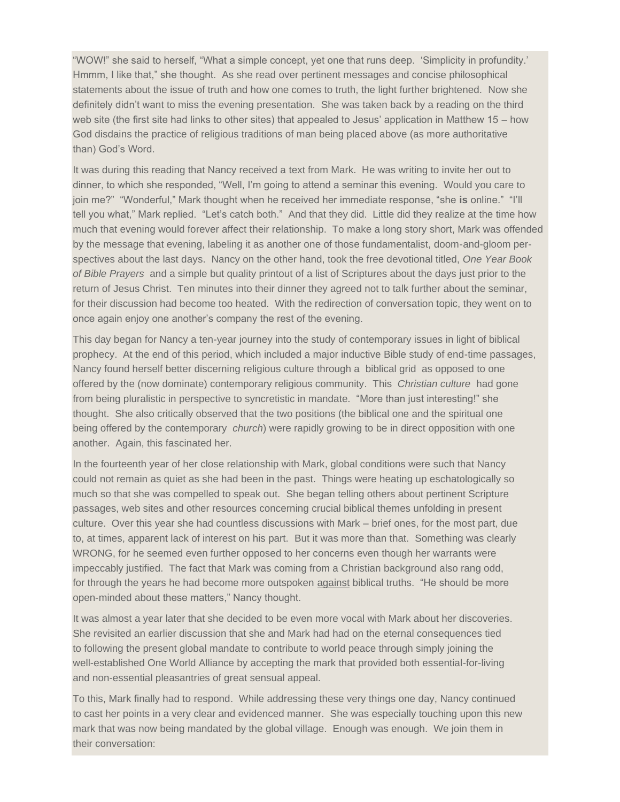"WOW!" she said to herself, "What a simple concept, yet one that runs deep. 'Simplicity in profundity.' Hmmm, I like that," she thought. As she read over pertinent messages and concise philosophical statements about the issue of truth and how one comes to truth, the light further brightened. Now she definitely didn't want to miss the evening presentation. She was taken back by a reading on the third web site (the first site had links to other sites) that appealed to Jesus' application in Matthew 15 – how God disdains the practice of religious traditions of man being placed above (as more authoritative than) God's Word.

It was during this reading that Nancy received a text from Mark. He was writing to invite her out to dinner, to which she responded, "Well, I'm going to attend a seminar this evening. Would you care to join me?" "Wonderful," Mark thought when he received her immediate response, "she **is** online." "I'll tell you what," Mark replied. "Let's catch both." And that they did. Little did they realize at the time how much that evening would forever affect their relationship. To make a long story short, Mark was offended by the message that evening, labeling it as another one of those fundamentalist, doom-and-gloom perspectives about the last days. Nancy on the other hand, took the free devotional titled, *One Year Book of Bible Prayers* and a simple but quality printout of a list of Scriptures about the days just prior to the return of Jesus Christ. Ten minutes into their dinner they agreed not to talk further about the seminar, for their discussion had become too heated. With the redirection of conversation topic, they went on to once again enjoy one another's company the rest of the evening.

This day began for Nancy a ten-year journey into the study of contemporary issues in light of biblical prophecy. At the end of this period, which included a major inductive Bible study of end-time passages, Nancy found herself better discerning religious culture through a biblical grid as opposed to one offered by the (now dominate) contemporary religious community. This *Christian culture* had gone from being pluralistic in perspective to syncretistic in mandate. "More than just interesting!" she thought. She also critically observed that the two positions (the biblical one and the spiritual one being offered by the contemporary *church*) were rapidly growing to be in direct opposition with one another. Again, this fascinated her.

In the fourteenth year of her close relationship with Mark, global conditions were such that Nancy could not remain as quiet as she had been in the past. Things were heating up eschatologically so much so that she was compelled to speak out. She began telling others about pertinent Scripture passages, web sites and other resources concerning crucial biblical themes unfolding in present culture. Over this year she had countless discussions with Mark – brief ones, for the most part, due to, at times, apparent lack of interest on his part. But it was more than that. Something was clearly WRONG, for he seemed even further opposed to her concerns even though her warrants were impeccably justified. The fact that Mark was coming from a Christian background also rang odd, for through the years he had become more outspoken against biblical truths. "He should be more open-minded about these matters," Nancy thought.

It was almost a year later that she decided to be even more vocal with Mark about her discoveries. She revisited an earlier discussion that she and Mark had had on the eternal consequences tied to following the present global mandate to contribute to world peace through simply joining the well-established One World Alliance by accepting the mark that provided both essential-for-living and non-essential pleasantries of great sensual appeal.

To this, Mark finally had to respond. While addressing these very things one day, Nancy continued to cast her points in a very clear and evidenced manner. She was especially touching upon this new mark that was now being mandated by the global village. Enough was enough. We join them in their conversation: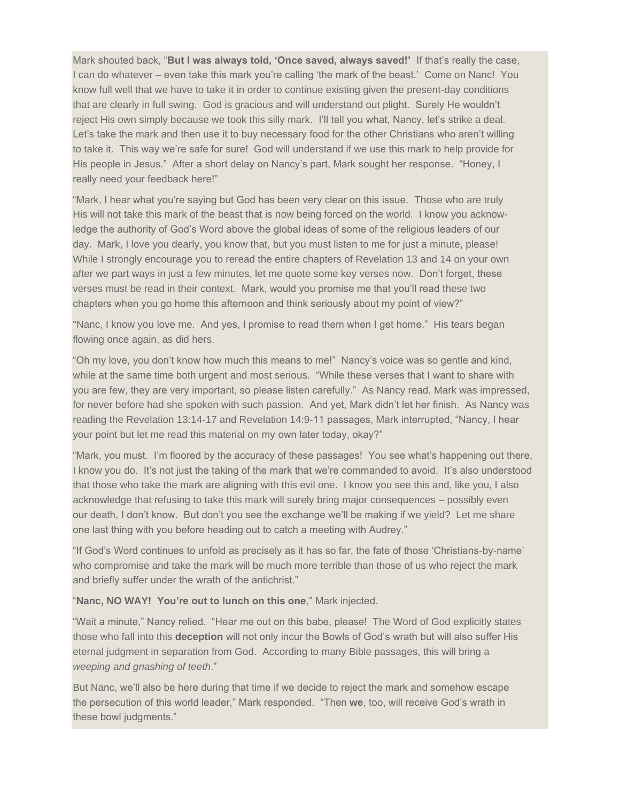Mark shouted back, "**But I was always told, 'Once saved, always saved!'** If that's really the case, I can do whatever – even take this mark you're calling 'the mark of the beast.' Come on Nanc! You know full well that we have to take it in order to continue existing given the present-day conditions that are clearly in full swing. God is gracious and will understand out plight. Surely He wouldn't reject His own simply because we took this silly mark. I'll tell you what, Nancy, let's strike a deal. Let's take the mark and then use it to buy necessary food for the other Christians who aren't willing to take it. This way we're safe for sure! God will understand if we use this mark to help provide for His people in Jesus." After a short delay on Nancy's part, Mark sought her response. "Honey, I really need your feedback here!"

"Mark, I hear what you're saying but God has been very clear on this issue. Those who are truly His will not take this mark of the beast that is now being forced on the world. I know you acknowledge the authority of God's Word above the global ideas of some of the religious leaders of our day. Mark, I love you dearly, you know that, but you must listen to me for just a minute, please! While I strongly encourage you to reread the entire chapters of Revelation 13 and 14 on your own after we part ways in just a few minutes, let me quote some key verses now. Don't forget, these verses must be read in their context. Mark, would you promise me that you'll read these two chapters when you go home this afternoon and think seriously about my point of view?"

"Nanc, I know you love me. And yes, I promise to read them when I get home." His tears began flowing once again, as did hers.

"Oh my love, you don't know how much this means to me!" Nancy's voice was so gentle and kind, while at the same time both urgent and most serious. "While these verses that I want to share with you are few, they are very important, so please listen carefully." As Nancy read, Mark was impressed, for never before had she spoken with such passion. And yet, Mark didn't let her finish. As Nancy was reading the Revelation 13:14-17 and Revelation 14:9-11 passages, Mark interrupted, "Nancy, I hear your point but let me read this material on my own later today, okay?"

"Mark, you must. I'm floored by the accuracy of these passages! You see what's happening out there, I know you do. It's not just the taking of the mark that we're commanded to avoid. It's also understood that those who take the mark are aligning with this evil one. I know you see this and, like you, I also acknowledge that refusing to take this mark will surely bring major consequences – possibly even our death, I don't know. But don't you see the exchange we'll be making if we yield? Let me share one last thing with you before heading out to catch a meeting with Audrey."

"If God's Word continues to unfold as precisely as it has so far, the fate of those 'Christians-by-name' who compromise and take the mark will be much more terrible than those of us who reject the mark and briefly suffer under the wrath of the antichrist."

## "**Nanc, NO WAY! You're out to lunch on this one**," Mark injected.

"Wait a minute," Nancy relied. "Hear me out on this babe, please! The Word of God explicitly states those who fall into this **deception** will not only incur the Bowls of God's wrath but will also suffer His eternal judgment in separation from God. According to many Bible passages, this will bring a *weeping and gnashing of teeth*."

But Nanc, we'll also be here during that time if we decide to reject the mark and somehow escape the persecution of this world leader," Mark responded. "Then **we**, too, will receive God's wrath in these bowl judgments."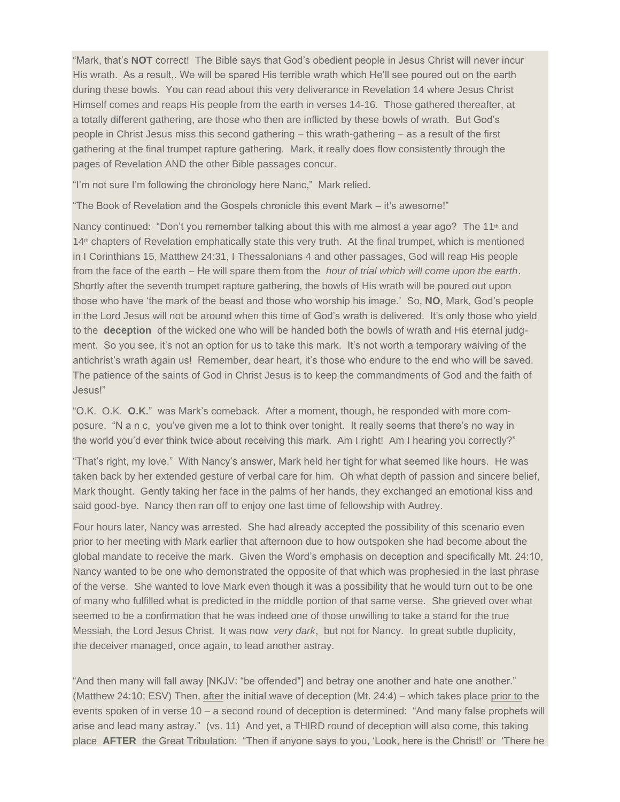"Mark, that's **NOT** correct! The Bible says that God's obedient people in Jesus Christ will never incur His wrath. As a result,. We will be spared His terrible wrath which He'll see poured out on the earth during these bowls. You can read about this very deliverance in Revelation 14 where Jesus Christ Himself comes and reaps His people from the earth in verses 14-16. Those gathered thereafter, at a totally different gathering, are those who then are inflicted by these bowls of wrath. But God's people in Christ Jesus miss this second gathering – this wrath-gathering – as a result of the first gathering at the final trumpet rapture gathering. Mark, it really does flow consistently through the pages of Revelation AND the other Bible passages concur.

"I'm not sure I'm following the chronology here Nanc," Mark relied.

"The Book of Revelation and the Gospels chronicle this event Mark – it's awesome!"

Nancy continued: "Don't you remember talking about this with me almost a year ago? The 11<sup>th</sup> and 14th chapters of Revelation emphatically state this very truth. At the final trumpet, which is mentioned in I Corinthians 15, Matthew 24:31, I Thessalonians 4 and other passages, God will reap His people from the face of the earth – He will spare them from the *hour of trial which will come upon the earth*. Shortly after the seventh trumpet rapture gathering, the bowls of His wrath will be poured out upon those who have 'the mark of the beast and those who worship his image.' So, **NO**, Mark, God's people in the Lord Jesus will not be around when this time of God's wrath is delivered. It's only those who yield to the **deception** of the wicked one who will be handed both the bowls of wrath and His eternal judgment. So you see, it's not an option for us to take this mark. It's not worth a temporary waiving of the antichrist's wrath again us! Remember, dear heart, it's those who endure to the end who will be saved. The patience of the saints of God in Christ Jesus is to keep the commandments of God and the faith of Jesus!"

"O.K. O.K. **O.K.**" was Mark's comeback. After a moment, though, he responded with more composure. "N a n c, you've given me a lot to think over tonight. It really seems that there's no way in the world you'd ever think twice about receiving this mark. Am I right! Am I hearing you correctly?"

"That's right, my love." With Nancy's answer, Mark held her tight for what seemed like hours. He was taken back by her extended gesture of verbal care for him. Oh what depth of passion and sincere belief, Mark thought. Gently taking her face in the palms of her hands, they exchanged an emotional kiss and said good-bye. Nancy then ran off to enjoy one last time of fellowship with Audrey.

Four hours later, Nancy was arrested. She had already accepted the possibility of this scenario even prior to her meeting with Mark earlier that afternoon due to how outspoken she had become about the global mandate to receive the mark. Given the Word's emphasis on deception and specifically Mt. 24:10, Nancy wanted to be one who demonstrated the opposite of that which was prophesied in the last phrase of the verse. She wanted to love Mark even though it was a possibility that he would turn out to be one of many who fulfilled what is predicted in the middle portion of that same verse. She grieved over what seemed to be a confirmation that he was indeed one of those unwilling to take a stand for the true Messiah, the Lord Jesus Christ. It was now *very dark*, but not for Nancy. In great subtle duplicity, the deceiver managed, once again, to lead another astray.

"And then many will fall away [NKJV: "be offended"] and betray one another and hate one another." (Matthew 24:10; ESV) Then, after the initial wave of deception (Mt. 24:4) – which takes place prior to the events spoken of in verse 10 – a second round of deception is determined: "And many false prophets will arise and lead many astray." (vs. 11) And yet, a THIRD round of deception will also come, this taking place **AFTER** the Great Tribulation: "Then if anyone says to you, 'Look, here is the Christ!' or 'There he